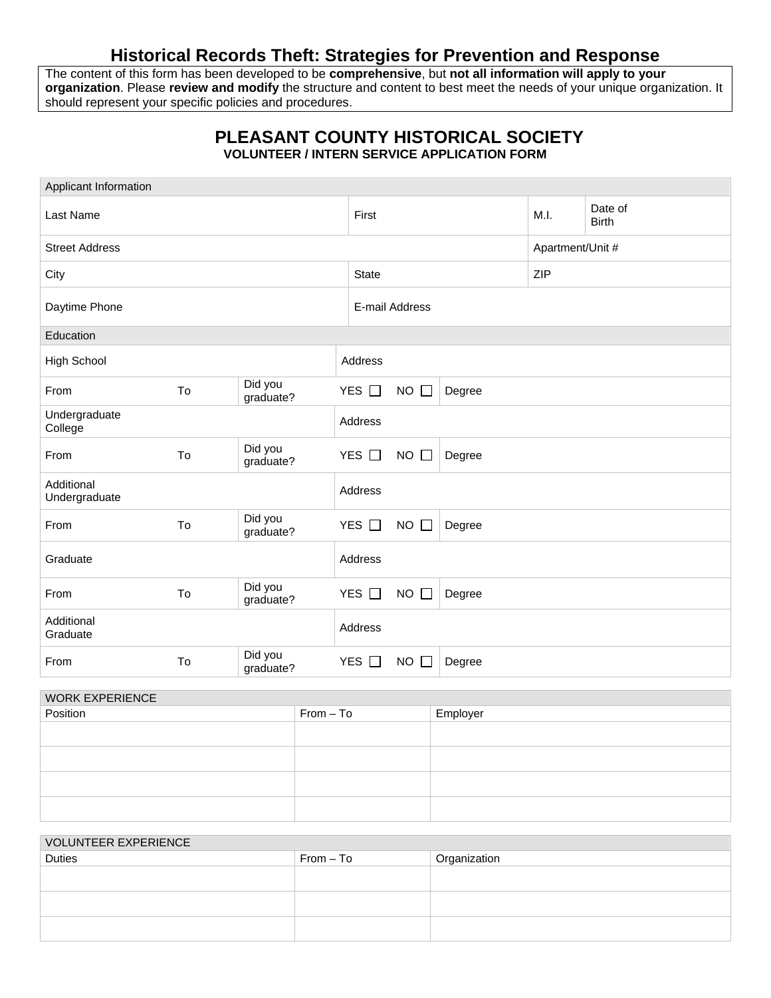## **Historical Records Theft: Strategies for Prevention and Response**

The content of this form has been developed to be **comprehensive**, but **not all information will apply to your organization**. Please **review and modify** the structure and content to best meet the needs of your unique organization. It should represent your specific policies and procedures.

## **PLEASANT COUNTY HISTORICAL SOCIETY VOLUNTEER / INTERN SERVICE APPLICATION FORM**

| Applicant Information       |    |                      |              |                     |        |                  |                         |
|-----------------------------|----|----------------------|--------------|---------------------|--------|------------------|-------------------------|
| Last Name                   |    |                      | First        |                     |        | M.I.             | Date of<br><b>Birth</b> |
| <b>Street Address</b>       |    |                      |              |                     |        | Apartment/Unit # |                         |
| City                        |    |                      | <b>State</b> | <b>ZIP</b>          |        |                  |                         |
| Daytime Phone               |    |                      |              | E-mail Address      |        |                  |                         |
| Education                   |    |                      |              |                     |        |                  |                         |
| <b>High School</b>          |    |                      | Address      |                     |        |                  |                         |
| From                        | To | Did you<br>graduate? | YES $\Box$   | $NO$ $\square$      | Degree |                  |                         |
| Undergraduate<br>College    |    |                      | Address      |                     |        |                  |                         |
| From                        | To | Did you<br>graduate? | YES $\Box$   | $NO$ $\Box$         | Degree |                  |                         |
| Additional<br>Undergraduate |    |                      | Address      |                     |        |                  |                         |
| From                        | To | Did you<br>graduate? | YES □        | $NO$ $\Box$         | Degree |                  |                         |
| Graduate                    |    |                      | Address      |                     |        |                  |                         |
| From                        | To | Did you<br>graduate? | YES □        | $NO$ $\square$      | Degree |                  |                         |
| Additional<br>Graduate      |    |                      | Address      |                     |        |                  |                         |
| From                        | To | Did you<br>graduate? | YES $\Box$   | <b>NO</b><br>$\Box$ | Degree |                  |                         |

| <b>WORK EXPERIENCE</b> |             |          |  |  |
|------------------------|-------------|----------|--|--|
| Position               | $From - To$ | Employer |  |  |
|                        |             |          |  |  |
|                        |             |          |  |  |
|                        |             |          |  |  |
|                        |             |          |  |  |

| <b>VOLUNTEER EXPERIENCE</b> |             |              |  |  |
|-----------------------------|-------------|--------------|--|--|
| <b>Duties</b>               | $From - To$ | Organization |  |  |
|                             |             |              |  |  |
|                             |             |              |  |  |
|                             |             |              |  |  |
|                             |             |              |  |  |
|                             |             |              |  |  |
|                             |             |              |  |  |